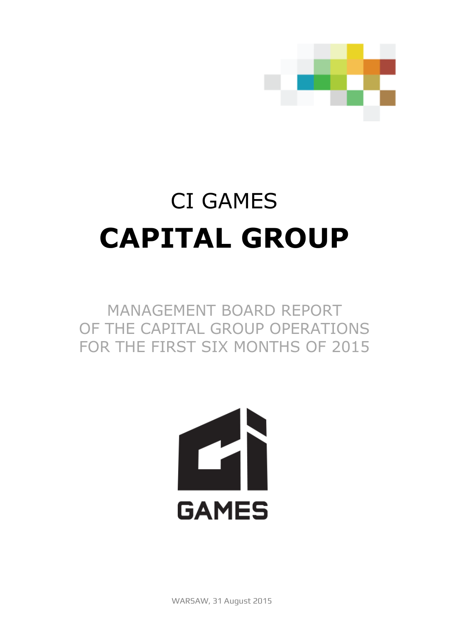

# CI GAMES **CAPITAL GROUP**

# MANAGEMENT BOARD REPORT OF THE CAPITAL GROUP OPERATIONS FOR THE FIRST SIX MONTHS OF 2015

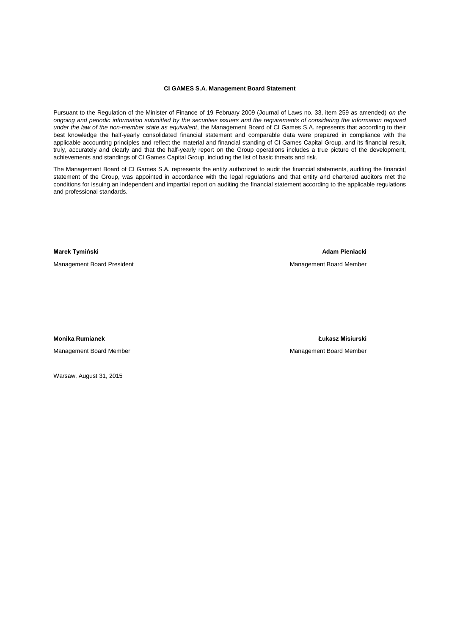#### **CI GAMES S.A. Management Board Statement**

Pursuant to the Regulation of the Minister of Finance of 19 February 2009 (Journal of Laws no. 33, item 259 as amended) *on the ongoing and periodic information submitted by the securities issuers and the requirements of considering the information required under the law of the non-member state as equivalent*, the Management Board of CI Games S.A. represents that according to their best knowledge the half-yearly consolidated financial statement and comparable data were prepared in compliance with the applicable accounting principles and reflect the material and financial standing of CI Games Capital Group, and its financial result, truly, accurately and clearly and that the half-yearly report on the Group operations includes a true picture of the development, achievements and standings of CI Games Capital Group, including the list of basic threats and risk.

The Management Board of CI Games S.A. represents the entity authorized to audit the financial statements, auditing the financial statement of the Group, was appointed in accordance with the legal regulations and that entity and chartered auditors met the conditions for issuing an independent and impartial report on auditing the financial statement according to the applicable regulations and professional standards.

Management Board President Management Board Member

**Marek Tymiński Adam Pieniacki** 

Management Board Member **Management Board Member** Management Board Member

**Monika Rumianek Łukasz Misiurski** 

Warsaw, August 31, 2015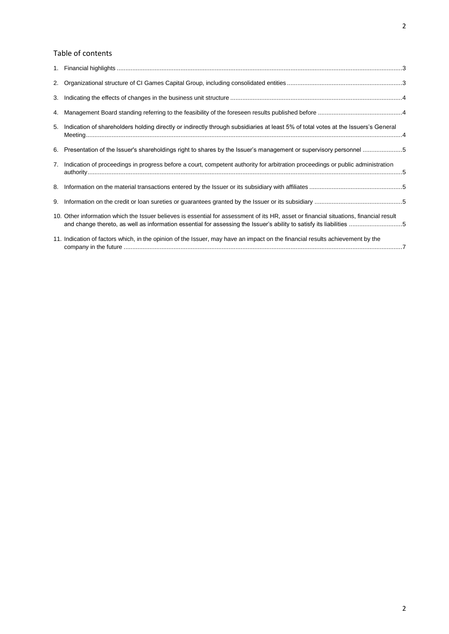# Table of contents

|    | 5. Indication of shareholders holding directly or indirectly through subsidiaries at least 5% of total votes at the Issuers's General                                                                                                                          |  |
|----|----------------------------------------------------------------------------------------------------------------------------------------------------------------------------------------------------------------------------------------------------------------|--|
|    | 6. Presentation of the Issuer's shareholdings right to shares by the Issuer's management or supervisory personnel 5                                                                                                                                            |  |
|    | 7. Indication of proceedings in progress before a court, competent authority for arbitration proceedings or public administration                                                                                                                              |  |
|    |                                                                                                                                                                                                                                                                |  |
| 9. |                                                                                                                                                                                                                                                                |  |
|    | 10. Other information which the Issuer believes is essential for assessment of its HR, asset or financial situations, financial result<br>and change thereto, as well as information essential for assessing the Issuer's ability to satisfy its liabilities 5 |  |
|    | 11. Indication of factors which, in the opinion of the Issuer, may have an impact on the financial results achievement by the                                                                                                                                  |  |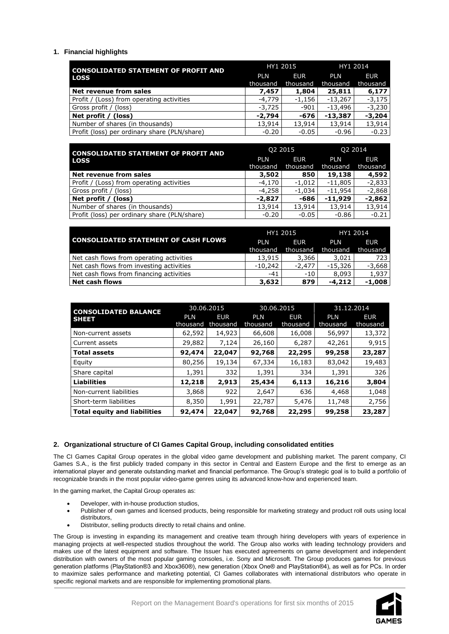# <span id="page-4-0"></span>**1. Financial highlights**

| <b>CONSOLIDATED STATEMENT OF PROFIT AND</b>  | HY1 2015   |            | HY1 2014   |            |
|----------------------------------------------|------------|------------|------------|------------|
| <b>LOSS</b>                                  | <b>PLN</b> | <b>EUR</b> | <b>PLN</b> | <b>EUR</b> |
|                                              | thousand   | thousand   | thousand   | thousand   |
| Net revenue from sales                       | 7,457      | 1,804      | 25,811     | 6,177      |
| Profit / (Loss) from operating activities    | -4,779     | $-1,156$   | $-13,267$  | $-3,175$   |
| Gross profit / (loss)                        | -3,725     | $-901$     | $-13,496$  | $-3,230$   |
| Net profit / (loss)                          | $-2.794$   | -676       | $-13,387$  | $-3,204$   |
| Number of shares (in thousands)              | 13,914     | 13,914     | 13,914     | 13,914     |
| Profit (loss) per ordinary share (PLN/share) | $-0.20$    | $-0.05$    | $-0.96$    | $-0.23$    |

| <b>CONSOLIDATED STATEMENT OF PROFIT AND</b>  |            | Q2 2015    | Q2 2014    |            |
|----------------------------------------------|------------|------------|------------|------------|
| <b>LOSS</b>                                  | <b>PLN</b> | <b>EUR</b> | <b>PLN</b> | <b>EUR</b> |
|                                              | thousand   | thousand   | thousand   | thousand   |
| Net revenue from sales                       | 3,502      | 850        | 19,138     | 4,592      |
| Profit / (Loss) from operating activities    | -4,170     | $-1,012$   | $-11,805$  | $-2,833$   |
| Gross profit / (loss)                        | -4,258     | $-1.034$   | $-11.954$  | $-2,868$   |
| Net profit / (loss)                          | $-2,827$   | -686       | $-11.929$  | $-2,862$   |
| Number of shares (in thousands)              | 13,914     | 13,914     | 13,914     | 13,914     |
| Profit (loss) per ordinary share (PLN/share) | $-0.20$    | $-0.05$    | $-0.86$    | $-0.21$    |

|                                             |           | HY1 2015   | HY1 2014  |            |
|---------------------------------------------|-----------|------------|-----------|------------|
| <b>CONSOLIDATED STATEMENT OF CASH FLOWS</b> | PI N      | <b>EUR</b> | PLN       | <b>EUR</b> |
|                                             | thousand  | thousand   | thousand  | thousand   |
| Net cash flows from operating activities    | 13,915    | 3,366      | 3,021     | 723        |
| Net cash flows from investing activities    | $-10.242$ | $-2.477$   | $-15.326$ | $-3,668$   |
| Net cash flows from financing activities    | $-41$     | $-10$      | 8,093     | 1,937      |
| Net cash flows                              | 3,632     | 879        | $-4.212$  | $-1,008$   |

| <b>CONSOLIDATED BALANCE</b>         | 30.06.2015 |            | 30.06.2015 |            | 31.12.2014 |            |
|-------------------------------------|------------|------------|------------|------------|------------|------------|
| <b>SHEET</b>                        | <b>PLN</b> | <b>EUR</b> | <b>PLN</b> | <b>EUR</b> | <b>PLN</b> | <b>EUR</b> |
|                                     | thousand   | thousand   | thousand   | thousand   | thousand   | thousand   |
| Non-current assets                  | 62,592     | 14,923     | 66,608     | 16,008     | 56,997     | 13,372     |
| Current assets                      | 29,882     | 7,124      | 26,160     | 6,287      | 42,261     | 9,915      |
| <b>Total assets</b>                 | 92,474     | 22,047     | 92,768     | 22,295     | 99,258     | 23,287     |
| Equity                              | 80,256     | 19,134     | 67,334     | 16,183     | 83,042     | 19,483     |
| Share capital                       | 1,391      | 332        | 1,391      | 334        | 1,391      | 326        |
| <b>Liabilities</b>                  | 12,218     | 2,913      | 25,434     | 6,113      | 16,216     | 3,804      |
| Non-current liabilities             | 3,868      | 922        | 2,647      | 636        | 4,468      | 1,048      |
| Short-term liabilities              | 8,350      | 1,991      | 22,787     | 5,476      | 11,748     | 2,756      |
| <b>Total equity and liabilities</b> | 92,474     | 22,047     | 92,768     | 22,295     | 99,258     | 23,287     |

# <span id="page-4-1"></span>**2. Organizational structure of CI Games Capital Group, including consolidated entities**

The CI Games Capital Group operates in the global video game development and publishing market. The parent company, CI Games S.A., is the first publicly traded company in this sector in Central and Eastern Europe and the first to emerge as an international player and generate outstanding market and financial performance. The Group's strategic goal is to build a portfolio of recognizable brands in the most popular video-game genres using its advanced know-how and experienced team.

In the gaming market, the Capital Group operates as:

- Developer, with in-house production studios,
- Publisher of own games and licensed products, being responsible for marketing strategy and product roll outs using local distributors,
- Distributor, selling products directly to retail chains and online.

The Group is investing in expanding its management and creative team through hiring developers with years of experience in managing projects at well-respected studios throughout the world. The Group also works with leading technology providers and makes use of the latest equipment and software. The Issuer has executed agreements on game development and independent distribution with owners of the most popular gaming consoles, i.e. Sony and Microsoft. The Group produces games for previous generation platforms (PlayStation®3 and Xbox360®), new generation (Xbox One® and PlayStation®4), as well as for PCs. In order to maximize sales performance and marketing potential, CI Games collaborates with international distributors who operate in specific regional markets and are responsible for implementing promotional plans.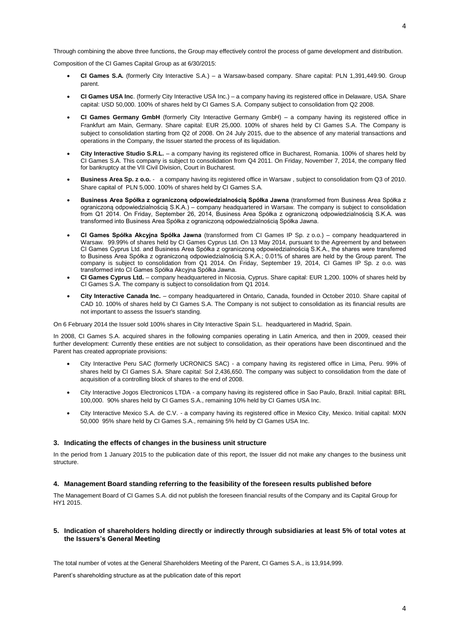Through combining the above three functions, the Group may effectively control the process of game development and distribution.

Composition of the CI Games Capital Group as at 6/30/2015:

- **CI Games S.A.** (formerly City Interactive S.A.) a Warsaw-based company. Share capital: PLN 1,391,449.90. Group parent.
- **CI Games USA Inc**. (formerly City Interactive USA Inc.) a company having its registered office in Delaware, USA. Share capital: USD 50,000. 100% of shares held by CI Games S.A. Company subject to consolidation from Q2 2008.
- **CI Games Germany GmbH** (formerly City Interactive Germany GmbH) a company having its registered office in Frankfurt am Main, Germany. Share capital: EUR 25,000. 100% of shares held by CI Games S.A. The Company is subject to consolidation starting from Q2 of 2008. On 24 July 2015, due to the absence of any material transactions and operations in the Company, the Issuer started the process of its liquidation.
- **City Interactive Studio S.R.L.** a company having its registered office in Bucharest, Romania. 100% of shares held by CI Games S.A. This company is subject to consolidation from Q4 2011. On Friday, November 7, 2014, the company filed for bankruptcy at the VII Civil Division, Court in Bucharest.
- **Business Area Sp. z o.o.**  a company having its registered office in Warsaw , subject to consolidation from Q3 of 2010. Share capital of PLN 5,000. 100% of shares held by CI Games S.A.
- **Business Area Spółka z ograniczoną odpowiedzialnością Spółka Jawna** (transformed from Business Area Spółka z ograniczoną odpowiedzialnością S.K.A.) – company headquartered in Warsaw. The company is subject to consolidation from Q1 2014. On Friday, September 26, 2014, Business Area Spółka z ograniczoną odpowiedzialnością S.K.A. was transformed into Business Area Spółka z ograniczoną odpowiedzialnością Spółka Jawna.
- **CI Games Spółka Akcyjna Spółka Jawna** (transformed from CI Games IP Sp. z o.o.) company headquartered in Warsaw. 99.99% of shares held by CI Games Cyprus Ltd. On 13 May 2014, pursuant to the Agreement by and between CI Games Cyprus Ltd. and Business Area Spółka z ograniczoną odpowiedzialnością S.K.A., the shares were transferred to Business Area Spółka z ograniczoną odpowiedzialnością S.K.A.; 0.01% of shares are held by the Group parent. The company is subject to consolidation from Q1 2014. On Friday, September 19, 2014, CI Games IP Sp. z o.o. was transformed into CI Games Spółka Akcyjna Spółka Jawna.
- **CI Games Cyprus Ltd.** company headquartered in Nicosia, Cyprus. Share capital: EUR 1,200. 100% of shares held by CI Games S.A. The company is subject to consolidation from Q1 2014.
- **City Interactive Canada Inc.**  company headquartered in Ontario, Canada, founded in October 2010. Share capital of CAD 10. 100% of shares held by CI Games S.A. The Company is not subject to consolidation as its financial results are not important to assess the Issuer's standing.

On 6 February 2014 the Issuer sold 100% shares in City Interactive Spain S.L. headquartered in Madrid, Spain.

In 2008, CI Games S.A. acquired shares in the following companies operating in Latin America, and then in 2009, ceased their further development: Currently these entities are not subject to consolidation, as their operations have been discontinued and the Parent has created appropriate provisions:

- City Interactive Peru SAC (formerly UCRONICS SAC) a company having its registered office in Lima, Peru. 99% of shares held by CI Games S.A. Share capital: Sol 2,436,650. The company was subject to consolidation from the date of acquisition of a controlling block of shares to the end of 2008.
- City Interactive Jogos Electronicos LTDA a company having its registered office in Sao Paulo, Brazil. Initial capital: BRL 100,000. 90% shares held by CI Games S.A., remaining 10% held by CI Games USA Inc.
- City Interactive Mexico S.A. de C.V. a company having its registered office in Mexico City, Mexico. Initial capital: MXN 50,000 95% share held by CI Games S.A., remaining 5% held by CI Games USA Inc.

#### <span id="page-5-0"></span>**3. Indicating the effects of changes in the business unit structure**

In the period from 1 January 2015 to the publication date of this report, the Issuer did not make any changes to the business unit structure.

#### <span id="page-5-1"></span>**4. Management Board standing referring to the feasibility of the foreseen results published before**

The Management Board of CI Games S.A. did not publish the foreseen financial results of the Company and its Capital Group for HY1 2015.

# <span id="page-5-2"></span>**5. Indication of shareholders holding directly or indirectly through subsidiaries at least 5% of total votes at the Issuers's General Meeting**

The total number of votes at the General Shareholders Meeting of the Parent, CI Games S.A., is 13,914,999.

Parent's shareholding structure as at the publication date of this report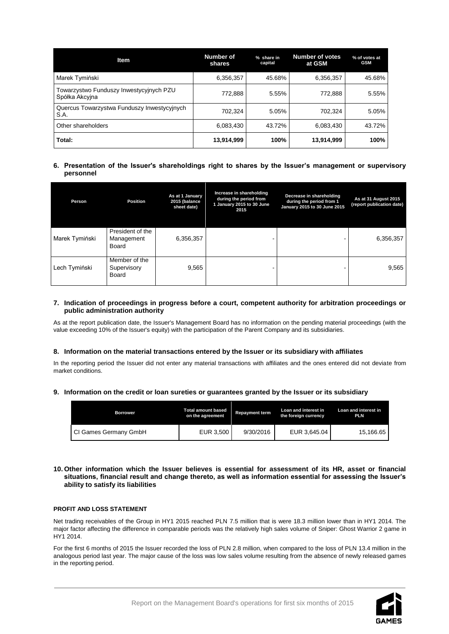| <b>Item</b>                                               | Number of<br>shares | % share in<br>capital | <b>Number of votes</b><br>at GSM | % of votes at<br><b>GSM</b> |
|-----------------------------------------------------------|---------------------|-----------------------|----------------------------------|-----------------------------|
| Marek Tymiński                                            | 6,356,357           | 45.68%                | 6,356,357                        | 45.68%                      |
| Towarzystwo Funduszy Inwestycyjnych PZU<br>Spółka Akcyjna | 772,888             | 5.55%                 | 772,888                          | 5.55%                       |
| Quercus Towarzystwa Funduszy Inwestycyjnych<br>S.A.       | 702,324             | 5.05%                 | 702,324                          | 5.05%                       |
| Other shareholders                                        | 6,083,430           | 43.72%                | 6.083,430                        | 43.72%                      |
| Total:                                                    | 13,914,999          | 100%                  | 13,914,999                       | 100%                        |

# <span id="page-6-0"></span>**6. Presentation of the Issuer's shareholdings right to shares by the Issuer's management or supervisory personnel**

| Person         | <b>Position</b>                         | As at 1 January<br>2015 (balance<br>sheet date) | Increase in shareholding<br>during the period from<br>1 January 2015 to 30 June<br>2015 | Decrease in shareholding<br>during the period from 1<br>January 2015 to 30 June 2015 | As at 31 August 2015<br>(report publication date) |
|----------------|-----------------------------------------|-------------------------------------------------|-----------------------------------------------------------------------------------------|--------------------------------------------------------------------------------------|---------------------------------------------------|
| Marek Tymiński | President of the<br>Management<br>Board | 6,356,357                                       |                                                                                         |                                                                                      | 6,356,357                                         |
| Lech Tymiński  | Member of the<br>Supervisory<br>Board   | 9,565                                           |                                                                                         |                                                                                      | 9,565                                             |

# <span id="page-6-1"></span>**7. Indication of proceedings in progress before a court, competent authority for arbitration proceedings or public administration authority**

As at the report publication date, the Issuer's Management Board has no information on the pending material proceedings (with the value exceeding 10% of the Issuer's equity) with the participation of the Parent Company and its subsidiaries.

# <span id="page-6-2"></span>**8. Information on the material transactions entered by the Issuer or its subsidiary with affiliates**

In the reporting period the Issuer did not enter any material transactions with affiliates and the ones entered did not deviate from market conditions.

# <span id="page-6-3"></span>**9. Information on the credit or loan sureties or guarantees granted by the Issuer or its subsidiary**

| <b>Borrower</b>       | <b>Total amount based</b><br>on the agreement | <b>Repayment term</b> | Loan and interest in<br>the foreign currency | Loan and interest in<br><b>PLN</b> |
|-----------------------|-----------------------------------------------|-----------------------|----------------------------------------------|------------------------------------|
| CI Games Germany GmbH | EUR 3,500                                     | 9/30/2016             | EUR 3,645.04                                 | 15.166.65                          |

# <span id="page-6-4"></span>**10. Other information which the Issuer believes is essential for assessment of its HR, asset or financial situations, financial result and change thereto, as well as information essential for assessing the Issuer's ability to satisfy its liabilities**

#### **PROFIT AND LOSS STATEMENT**

Net trading receivables of the Group in HY1 2015 reached PLN 7.5 million that is were 18.3 million lower than in HY1 2014. The major factor affecting the difference in comparable periods was the relatively high sales volume of Sniper: Ghost Warrior 2 game in HY1 2014.

For the first 6 months of 2015 the Issuer recorded the loss of PLN 2.8 million, when compared to the loss of PLN 13.4 million in the analogous period last year. The major cause of the loss was low sales volume resulting from the absence of newly released games in the reporting period.

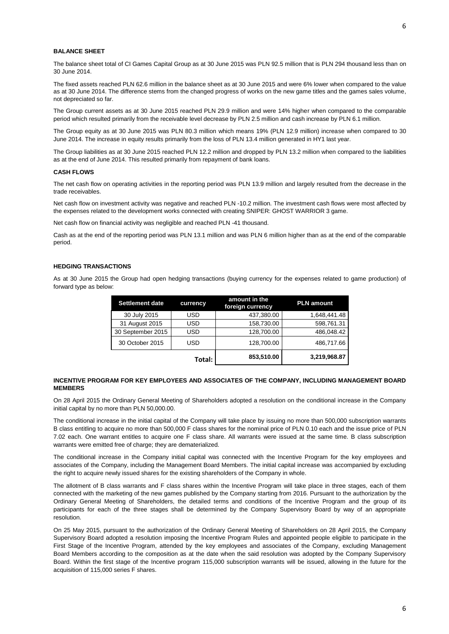#### **BALANCE SHEET**

The balance sheet total of CI Games Capital Group as at 30 June 2015 was PLN 92.5 million that is PLN 294 thousand less than on 30 June 2014.

The fixed assets reached PLN 62.6 million in the balance sheet as at 30 June 2015 and were 6% lower when compared to the value as at 30 June 2014. The difference stems from the changed progress of works on the new game titles and the games sales volume, not depreciated so far.

The Group current assets as at 30 June 2015 reached PLN 29.9 million and were 14% higher when compared to the comparable period which resulted primarily from the receivable level decrease by PLN 2.5 million and cash increase by PLN 6.1 million.

The Group equity as at 30 June 2015 was PLN 80.3 million which means 19% (PLN 12.9 million) increase when compared to 30 June 2014. The increase in equity results primarily from the loss of PLN 13.4 million generated in HY1 last year.

The Group liabilities as at 30 June 2015 reached PLN 12.2 million and dropped by PLN 13.2 million when compared to the liabilities as at the end of June 2014. This resulted primarily from repayment of bank loans.

#### **CASH FLOWS**

The net cash flow on operating activities in the reporting period was PLN 13.9 million and largely resulted from the decrease in the trade receivables.

Net cash flow on investment activity was negative and reached PLN -10.2 million. The investment cash flows were most affected by the expenses related to the development works connected with creating SNIPER: GHOST WARRIOR 3 game.

Net cash flow on financial activity was negligible and reached PLN -41 thousand.

Cash as at the end of the reporting period was PLN 13.1 million and was PLN 6 million higher than as at the end of the comparable period.

#### **HEDGING TRANSACTIONS**

As at 30 June 2015 the Group had open hedging transactions (buying currency for the expenses related to game production) of forward type as below:

| <b>Settlement date</b> | currency   | amount in the<br>foreign currency | <b>PLN amount</b> |
|------------------------|------------|-----------------------------------|-------------------|
| 30 July 2015           | USD        | 437,380.00                        | 1,648,441.48      |
| 31 August 2015         | USD        | 158,730.00                        | 598,761.31        |
| 30 September 2015      | <b>USD</b> | 128,700.00                        | 486.048.42        |
| 30 October 2015        | USD        | 128,700.00                        | 486,717.66        |
|                        | Total:     | 853,510.00                        | 3,219,968.87      |

#### **INCENTIVE PROGRAM FOR KEY EMPLOYEES AND ASSOCIATES OF THE COMPANY, INCLUDING MANAGEMENT BOARD MEMBERS**

On 28 April 2015 the Ordinary General Meeting of Shareholders adopted a resolution on the conditional increase in the Company initial capital by no more than PLN 50,000.00.

The conditional increase in the initial capital of the Company will take place by issuing no more than 500,000 subscription warrants B class entitling to acquire no more than 500,000 F class shares for the nominal price of PLN 0.10 each and the issue price of PLN 7.02 each. One warrant entitles to acquire one F class share. All warrants were issued at the same time. B class subscription warrants were emitted free of charge; they are dematerialized.

The conditional increase in the Company initial capital was connected with the Incentive Program for the key employees and associates of the Company, including the Management Board Members. The initial capital increase was accompanied by excluding the right to acquire newly issued shares for the existing shareholders of the Company in whole.

The allotment of B class warrants and F class shares within the Incentive Program will take place in three stages, each of them connected with the marketing of the new games published by the Company starting from 2016. Pursuant to the authorization by the Ordinary General Meeting of Shareholders, the detailed terms and conditions of the Incentive Program and the group of its participants for each of the three stages shall be determined by the Company Supervisory Board by way of an appropriate resolution.

On 25 May 2015, pursuant to the authorization of the Ordinary General Meeting of Shareholders on 28 April 2015, the Company Supervisory Board adopted a resolution imposing the Incentive Program Rules and appointed people eligible to participate in the First Stage of the Incentive Program, attended by the key employees and associates of the Company, excluding Management Board Members according to the composition as at the date when the said resolution was adopted by the Company Supervisory Board. Within the first stage of the Incentive program 115,000 subscription warrants will be issued, allowing in the future for the acquisition of 115,000 series F shares.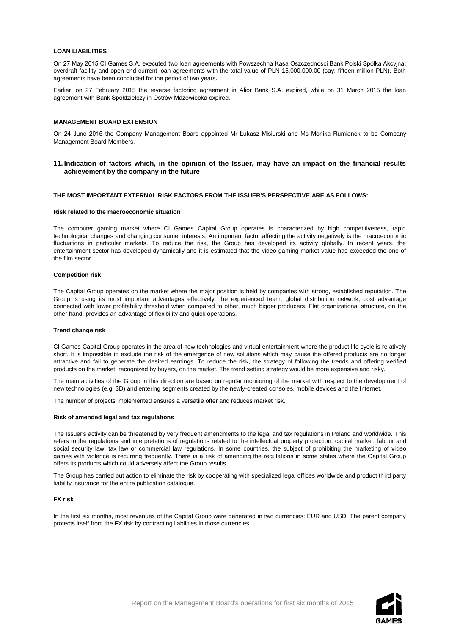#### **LOAN LIABILITIES**

On 27 May 2015 CI Games S.A. executed two loan agreements with Powszechna Kasa Oszczędności Bank Polski Spółka Akcyjna: overdraft facility and open-end current loan agreements with the total value of PLN 15,000,000.00 (say: fifteen million PLN). Both agreements have been concluded for the period of two years.

Earlier, on 27 February 2015 the reverse factoring agreement in Alior Bank S.A. expired, while on 31 March 2015 the loan agreement with Bank Spółdzielczy in Ostrów Mazowiecka expired.

## **MANAGEMENT BOARD EXTENSION**

On 24 June 2015 the Company Management Board appointed Mr Łukasz Misiurski and Ms Monika Rumianek to be Company Management Board Members.

<span id="page-8-0"></span>**11. Indication of factors which, in the opinion of the Issuer, may have an impact on the financial results achievement by the company in the future**

#### **THE MOST IMPORTANT EXTERNAL RISK FACTORS FROM THE ISSUER'S PERSPECTIVE ARE AS FOLLOWS:**

#### **Risk related to the macroeconomic situation**

The computer gaming market where CI Games Capital Group operates is characterized by high competitiveness, rapid technological changes and changing consumer interests. An important factor affecting the activity negatively is the macroeconomic fluctuations in particular markets. To reduce the risk, the Group has developed its activity globally. In recent years, the entertainment sector has developed dynamically and it is estimated that the video gaming market value has exceeded the one of the film sector.

#### **Competition risk**

The Capital Group operates on the market where the major position is held by companies with strong, established reputation. The Group is using its most important advantages effectively: the experienced team, global distribution network, cost advantage connected with lower profitability threshold when compared to other, much bigger producers. Flat organizational structure, on the other hand, provides an advantage of flexibility and quick operations.

#### **Trend change risk**

CI Games Capital Group operates in the area of new technologies and virtual entertainment where the product life cycle is relatively short. It is impossible to exclude the risk of the emergence of new solutions which may cause the offered products are no longer attractive and fail to generate the desired earnings. To reduce the risk, the strategy of following the trends and offering verified products on the market, recognized by buyers, on the market. The trend setting strategy would be more expensive and risky.

The main activities of the Group in this direction are based on regular monitoring of the market with respect to the development of new technologies (e.g. 3D) and entering segments created by the newly-created consoles, mobile devices and the Internet.

The number of projects implemented ensures a versatile offer and reduces market risk.

#### **Risk of amended legal and tax regulations**

The Issuer's activity can be threatened by very frequent amendments to the legal and tax regulations in Poland and worldwide. This refers to the regulations and interpretations of regulations related to the intellectual property protection, capital market, labour and social security law, tax law or commercial law regulations. In some countries, the subject of prohibiting the marketing of video games with violence is recurring frequently. There is a risk of amending the regulations in some states where the Capital Group offers its products which could adversely affect the Group results.

The Group has carried out action to eliminate the risk by cooperating with specialized legal offices worldwide and product third party liability insurance for the entire publication catalogue.

#### **FX risk**

In the first six months, most revenues of the Capital Group were generated in two currencies: EUR and USD. The parent company protects itself from the FX risk by contracting liabilities in those currencies.

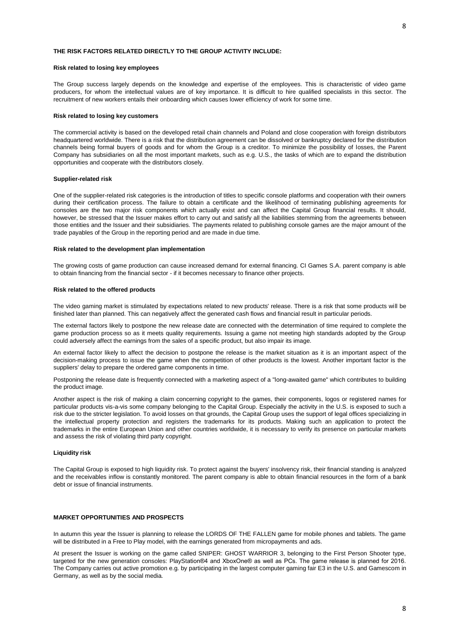#### **THE RISK FACTORS RELATED DIRECTLY TO THE GROUP ACTIVITY INCLUDE:**

#### **Risk related to losing key employees**

The Group success largely depends on the knowledge and expertise of the employees. This is characteristic of video game producers, for whom the intellectual values are of key importance. It is difficult to hire qualified specialists in this sector. The recruitment of new workers entails their onboarding which causes lower efficiency of work for some time.

#### **Risk related to losing key customers**

The commercial activity is based on the developed retail chain channels and Poland and close cooperation with foreign distributors headquartered worldwide. There is a risk that the distribution agreement can be dissolved or bankruptcy declared for the distribution channels being formal buyers of goods and for whom the Group is a creditor. To minimize the possibility of losses, the Parent Company has subsidiaries on all the most important markets, such as e.g. U.S., the tasks of which are to expand the distribution opportunities and cooperate with the distributors closely.

#### **Supplier-related risk**

One of the supplier-related risk categories is the introduction of titles to specific console platforms and cooperation with their owners during their certification process. The failure to obtain a certificate and the likelihood of terminating publishing agreements for consoles are the two major risk components which actually exist and can affect the Capital Group financial results. It should, however, be stressed that the Issuer makes effort to carry out and satisfy all the liabilities stemming from the agreements between those entities and the Issuer and their subsidiaries. The payments related to publishing console games are the major amount of the trade payables of the Group in the reporting period and are made in due time.

#### **Risk related to the development plan implementation**

The growing costs of game production can cause increased demand for external financing. CI Games S.A. parent company is able to obtain financing from the financial sector - if it becomes necessary to finance other projects.

#### **Risk related to the offered products**

The video gaming market is stimulated by expectations related to new products' release. There is a risk that some products will be finished later than planned. This can negatively affect the generated cash flows and financial result in particular periods.

The external factors likely to postpone the new release date are connected with the determination of time required to complete the game production process so as it meets quality requirements. Issuing a game not meeting high standards adopted by the Group could adversely affect the earnings from the sales of a specific product, but also impair its image.

An external factor likely to affect the decision to postpone the release is the market situation as it is an important aspect of the decision-making process to issue the game when the competition of other products is the lowest. Another important factor is the suppliers' delay to prepare the ordered game components in time.

Postponing the release date is frequently connected with a marketing aspect of a "long-awaited game" which contributes to building the product image.

Another aspect is the risk of making a claim concerning copyright to the games, their components, logos or registered names for particular products vis-a-vis some company belonging to the Capital Group. Especially the activity in the U.S. is exposed to such a risk due to the stricter legislation. To avoid losses on that grounds, the Capital Group uses the support of legal offices specializing in the intellectual property protection and registers the trademarks for its products. Making such an application to protect the trademarks in the entire European Union and other countries worldwide, it is necessary to verify its presence on particular markets and assess the risk of violating third party copyright.

#### **Liquidity risk**

The Capital Group is exposed to high liquidity risk. To protect against the buyers' insolvency risk, their financial standing is analyzed and the receivables inflow is constantly monitored. The parent company is able to obtain financial resources in the form of a bank debt or issue of financial instruments.

# **MARKET OPPORTUNITIES AND PROSPECTS**

In autumn this year the Issuer is planning to release the LORDS OF THE FALLEN game for mobile phones and tablets. The game will be distributed in a Free to Play model, with the earnings generated from micropayments and ads.

At present the Issuer is working on the game called SNIPER: GHOST WARRIOR 3, belonging to the First Person Shooter type, targeted for the new generation consoles: PlayStation®4 and XboxOne® as well as PCs. The game release is planned for 2016. The Company carries out active promotion e.g. by participating in the largest computer gaming fair E3 in the U.S. and Gamescom in Germany, as well as by the social media.